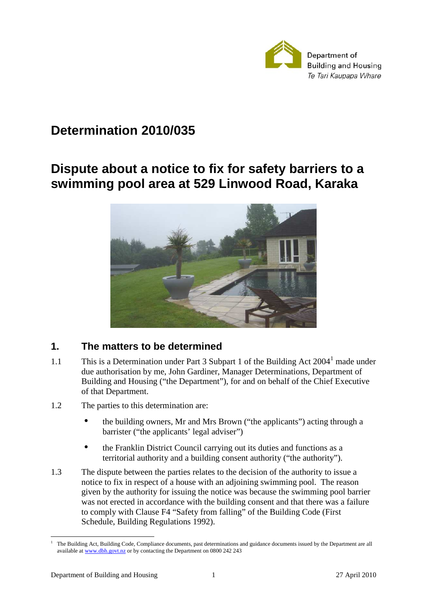

# **Determination 2010/035**

# **Dispute about a notice to fix for safety barriers to a swimming pool area at 529 Linwood Road, Karaka**



# **1. The matters to be determined**

- 1.1 This is a Determination under Part 3 Subpart 1 of the Building Act  $2004<sup>1</sup>$  made under due authorisation by me, John Gardiner, Manager Determinations, Department of Building and Housing ("the Department"), for and on behalf of the Chief Executive of that Department.
- 1.2 The parties to this determination are:
	- the building owners, Mr and Mrs Brown ("the applicants") acting through a barrister ("the applicants' legal adviser")
	- the Franklin District Council carrying out its duties and functions as a territorial authority and a building consent authority ("the authority").
- 1.3 The dispute between the parties relates to the decision of the authority to issue a notice to fix in respect of a house with an adjoining swimming pool. The reason given by the authority for issuing the notice was because the swimming pool barrier was not erected in accordance with the building consent and that there was a failure to comply with Clause F4 "Safety from falling" of the Building Code (First Schedule, Building Regulations 1992).

 $\overline{a}$ 1 The Building Act, Building Code, Compliance documents, past determinations and guidance documents issued by the Department are all available at www.dbh.govt.nz or by contacting the Department on 0800 242 243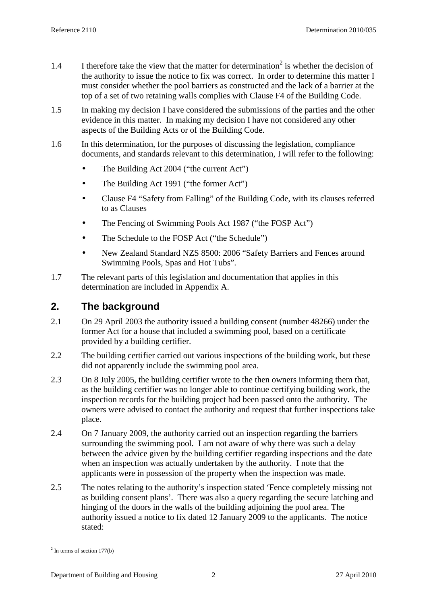- 1.4 I therefore take the view that the matter for determination<sup>2</sup> is whether the decision of the authority to issue the notice to fix was correct. In order to determine this matter I must consider whether the pool barriers as constructed and the lack of a barrier at the top of a set of two retaining walls complies with Clause F4 of the Building Code.
- 1.5 In making my decision I have considered the submissions of the parties and the other evidence in this matter. In making my decision I have not considered any other aspects of the Building Acts or of the Building Code.
- 1.6 In this determination, for the purposes of discussing the legislation, compliance documents, and standards relevant to this determination, I will refer to the following:
	- The Building Act 2004 ("the current Act")
	- The Building Act 1991 ("the former Act")
	- Clause F4 "Safety from Falling" of the Building Code, with its clauses referred to as Clauses
	- The Fencing of Swimming Pools Act 1987 ("the FOSP Act")
	- The Schedule to the FOSP Act ("the Schedule")
	- New Zealand Standard NZS 8500: 2006 "Safety Barriers and Fences around Swimming Pools, Spas and Hot Tubs".
- 1.7 The relevant parts of this legislation and documentation that applies in this determination are included in Appendix A.

# **2. The background**

- 2.1 On 29 April 2003 the authority issued a building consent (number 48266) under the former Act for a house that included a swimming pool, based on a certificate provided by a building certifier.
- 2.2 The building certifier carried out various inspections of the building work, but these did not apparently include the swimming pool area.
- 2.3 On 8 July 2005, the building certifier wrote to the then owners informing them that, as the building certifier was no longer able to continue certifying building work, the inspection records for the building project had been passed onto the authority. The owners were advised to contact the authority and request that further inspections take place.
- 2.4 On 7 January 2009, the authority carried out an inspection regarding the barriers surrounding the swimming pool. I am not aware of why there was such a delay between the advice given by the building certifier regarding inspections and the date when an inspection was actually undertaken by the authority. I note that the applicants were in possession of the property when the inspection was made.
- 2.5 The notes relating to the authority's inspection stated 'Fence completely missing not as building consent plans'. There was also a query regarding the secure latching and hinging of the doors in the walls of the building adjoining the pool area. The authority issued a notice to fix dated 12 January 2009 to the applicants. The notice stated:

 $\overline{a}$  $2$  In terms of section 177(b)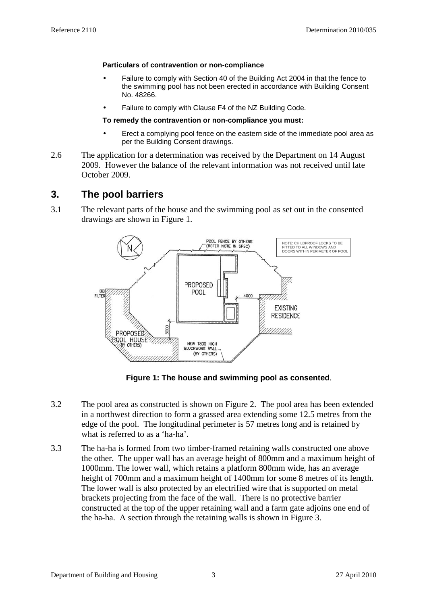#### **Particulars of contravention or non-compliance**

- Failure to comply with Section 40 of the Building Act 2004 in that the fence to the swimming pool has not been erected in accordance with Building Consent No. 48266.
- Failure to comply with Clause F4 of the NZ Building Code.

### **To remedy the contravention or non-compliance you must:**

- Erect a complying pool fence on the eastern side of the immediate pool area as per the Building Consent drawings.
- 2.6 The application for a determination was received by the Department on 14 August 2009. However the balance of the relevant information was not received until late October 2009.

# **3. The pool barriers**

3.1 The relevant parts of the house and the swimming pool as set out in the consented drawings are shown in Figure 1.



**Figure 1: The house and swimming pool as consented**.

- 3.2 The pool area as constructed is shown on Figure 2. The pool area has been extended in a northwest direction to form a grassed area extending some 12.5 metres from the edge of the pool. The longitudinal perimeter is 57 metres long and is retained by what is referred to as a 'ha-ha'.
- 3.3 The ha-ha is formed from two timber-framed retaining walls constructed one above the other. The upper wall has an average height of 800mm and a maximum height of 1000mm. The lower wall, which retains a platform 800mm wide, has an average height of 700mm and a maximum height of 1400mm for some 8 metres of its length. The lower wall is also protected by an electrified wire that is supported on metal brackets projecting from the face of the wall. There is no protective barrier constructed at the top of the upper retaining wall and a farm gate adjoins one end of the ha-ha. A section through the retaining walls is shown in Figure 3.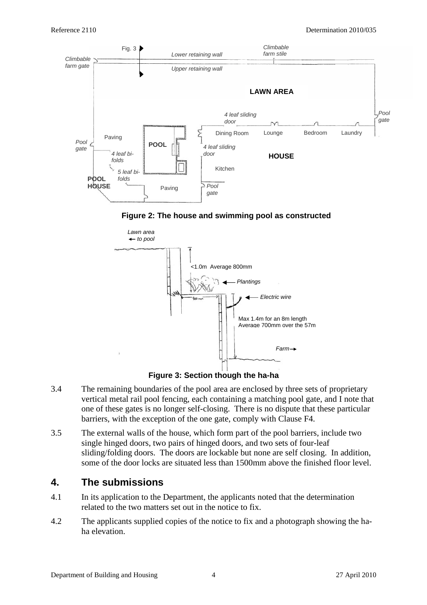#### Reference 2110 Determination 2010/035



**Figure 2: The house and swimming pool as constructed** 



**Figure 3: Section though the ha-ha** 

- 3.4 The remaining boundaries of the pool area are enclosed by three sets of proprietary vertical metal rail pool fencing, each containing a matching pool gate, and I note that one of these gates is no longer self-closing. There is no dispute that these particular barriers, with the exception of the one gate, comply with Clause F4.
- 3.5 The external walls of the house, which form part of the pool barriers, include two single hinged doors, two pairs of hinged doors, and two sets of four-leaf sliding/folding doors. The doors are lockable but none are self closing. In addition, some of the door locks are situated less than 1500mm above the finished floor level.

# **4. The submissions**

- 4.1 In its application to the Department, the applicants noted that the determination related to the two matters set out in the notice to fix.
- 4.2 The applicants supplied copies of the notice to fix and a photograph showing the haha elevation.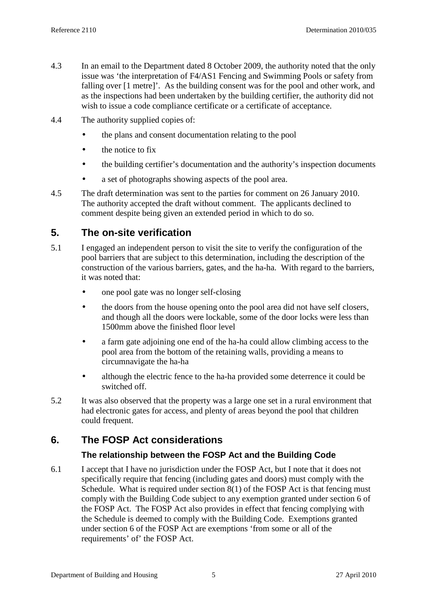- 4.3 In an email to the Department dated 8 October 2009, the authority noted that the only issue was 'the interpretation of F4/AS1 Fencing and Swimming Pools or safety from falling over [1 metre]'. As the building consent was for the pool and other work, and as the inspections had been undertaken by the building certifier, the authority did not wish to issue a code compliance certificate or a certificate of acceptance.
- 4.4 The authority supplied copies of:
	- the plans and consent documentation relating to the pool
	- the notice to fix
	- the building certifier's documentation and the authority's inspection documents
	- a set of photographs showing aspects of the pool area.
- 4.5 The draft determination was sent to the parties for comment on 26 January 2010. The authority accepted the draft without comment. The applicants declined to comment despite being given an extended period in which to do so.

# **5. The on-site verification**

- 5.1 I engaged an independent person to visit the site to verify the configuration of the pool barriers that are subject to this determination, including the description of the construction of the various barriers, gates, and the ha-ha. With regard to the barriers, it was noted that:
	- one pool gate was no longer self-closing
	- the doors from the house opening onto the pool area did not have self closers, and though all the doors were lockable, some of the door locks were less than 1500mm above the finished floor level
	- a farm gate adjoining one end of the ha-ha could allow climbing access to the pool area from the bottom of the retaining walls, providing a means to circumnavigate the ha-ha
	- although the electric fence to the ha-ha provided some deterrence it could be switched off.
- 5.2 It was also observed that the property was a large one set in a rural environment that had electronic gates for access, and plenty of areas beyond the pool that children could frequent.

# **6. The FOSP Act considerations**

## **The relationship between the FOSP Act and the Building Code**

6.1 I accept that I have no jurisdiction under the FOSP Act, but I note that it does not specifically require that fencing (including gates and doors) must comply with the Schedule. What is required under section 8(1) of the FOSP Act is that fencing must comply with the Building Code subject to any exemption granted under section 6 of the FOSP Act. The FOSP Act also provides in effect that fencing complying with the Schedule is deemed to comply with the Building Code. Exemptions granted under section 6 of the FOSP Act are exemptions 'from some or all of the requirements' of' the FOSP Act.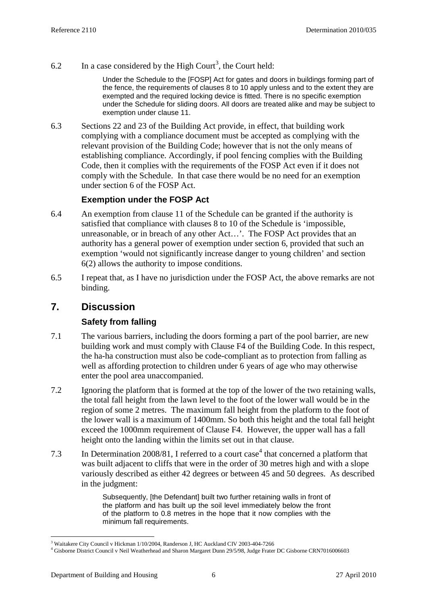6.2 In a case considered by the High Court<sup>3</sup>, the Court held:

Under the Schedule to the [FOSP] Act for gates and doors in buildings forming part of the fence, the requirements of clauses 8 to 10 apply unless and to the extent they are exempted and the required locking device is fitted. There is no specific exemption under the Schedule for sliding doors. All doors are treated alike and may be subject to exemption under clause 11.

6.3 Sections 22 and 23 of the Building Act provide, in effect, that building work complying with a compliance document must be accepted as complying with the relevant provision of the Building Code; however that is not the only means of establishing compliance. Accordingly, if pool fencing complies with the Building Code, then it complies with the requirements of the FOSP Act even if it does not comply with the Schedule. In that case there would be no need for an exemption under section 6 of the FOSP Act.

## **Exemption under the FOSP Act**

- 6.4 An exemption from clause 11 of the Schedule can be granted if the authority is satisfied that compliance with clauses 8 to 10 of the Schedule is 'impossible, unreasonable, or in breach of any other Act…'. The FOSP Act provides that an authority has a general power of exemption under section 6, provided that such an exemption 'would not significantly increase danger to young children' and section 6(2) allows the authority to impose conditions.
- 6.5 I repeat that, as I have no jurisdiction under the FOSP Act, the above remarks are not binding.

# **7. Discussion**

# **Safety from falling**

- 7.1 The various barriers, including the doors forming a part of the pool barrier, are new building work and must comply with Clause F4 of the Building Code. In this respect, the ha-ha construction must also be code-compliant as to protection from falling as well as affording protection to children under 6 years of age who may otherwise enter the pool area unaccompanied.
- 7.2 Ignoring the platform that is formed at the top of the lower of the two retaining walls, the total fall height from the lawn level to the foot of the lower wall would be in the region of some 2 metres. The maximum fall height from the platform to the foot of the lower wall is a maximum of 1400mm. So both this height and the total fall height exceed the 1000mm requirement of Clause F4. However, the upper wall has a fall height onto the landing within the limits set out in that clause.
- 7.3 In Determination 2008/81, I referred to a court case<sup>4</sup> that concerned a platform that was built adjacent to cliffs that were in the order of 30 metres high and with a slope variously described as either 42 degrees or between 45 and 50 degrees. As described in the judgment:

Subsequently, [the Defendant] built two further retaining walls in front of the platform and has built up the soil level immediately below the front of the platform to 0.8 metres in the hope that it now complies with the minimum fall requirements.

 $\overline{a}$ <sup>3</sup> Waitakere City Council v Hickman 1/10/2004, Randerson J, HC Auckland CIV 2003-404-7266

<sup>4</sup> Gisborne District Council v Neil Weatherhead and Sharon Margaret Dunn 29/5/98, Judge Frater DC Gisborne CRN7016006603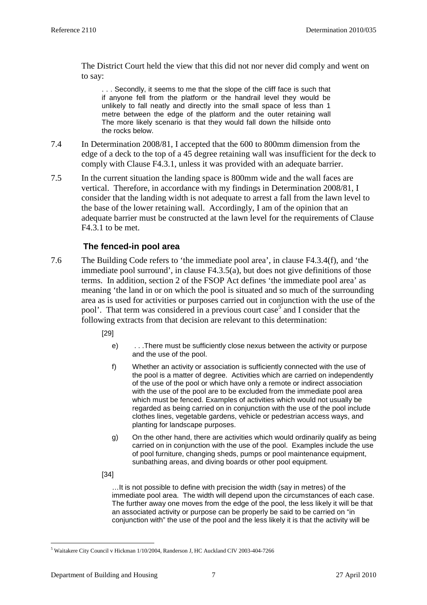The District Court held the view that this did not nor never did comply and went on to say:

. . . Secondly, it seems to me that the slope of the cliff face is such that if anyone fell from the platform or the handrail level they would be unlikely to fall neatly and directly into the small space of less than 1 metre between the edge of the platform and the outer retaining wall The more likely scenario is that they would fall down the hillside onto the rocks below.

- 7.4 In Determination 2008/81, I accepted that the 600 to 800mm dimension from the edge of a deck to the top of a 45 degree retaining wall was insufficient for the deck to comply with Clause F4.3.1, unless it was provided with an adequate barrier.
- 7.5 In the current situation the landing space is 800mm wide and the wall faces are vertical. Therefore, in accordance with my findings in Determination 2008/81, I consider that the landing width is not adequate to arrest a fall from the lawn level to the base of the lower retaining wall. Accordingly, I am of the opinion that an adequate barrier must be constructed at the lawn level for the requirements of Clause F4.3.1 to be met.

# **The fenced-in pool area**

- 7.6 The Building Code refers to 'the immediate pool area', in clause F4.3.4(f), and 'the immediate pool surround', in clause F4.3.5(a), but does not give definitions of those terms. In addition, section 2 of the FSOP Act defines 'the immediate pool area' as meaning 'the land in or on which the pool is situated and so much of the surrounding area as is used for activities or purposes carried out in conjunction with the use of the pool'. That term was considered in a previous court case<sup>5</sup> and I consider that the following extracts from that decision are relevant to this determination:
	- [29]
		- e) . . .There must be sufficiently close nexus between the activity or purpose and the use of the pool.
		- f) Whether an activity or association is sufficiently connected with the use of the pool is a matter of degree. Activities which are carried on independently of the use of the pool or which have only a remote or indirect association with the use of the pool are to be excluded from the immediate pool area which must be fenced. Examples of activities which would not usually be regarded as being carried on in conjunction with the use of the pool include clothes lines, vegetable gardens, vehicle or pedestrian access ways, and planting for landscape purposes.
		- g) On the other hand, there are activities which would ordinarily qualify as being carried on in conjunction with the use of the pool. Examples include the use of pool furniture, changing sheds, pumps or pool maintenance equipment, sunbathing areas, and diving boards or other pool equipment.
	- [34]

…It is not possible to define with precision the width (say in metres) of the immediate pool area. The width will depend upon the circumstances of each case. The further away one moves from the edge of the pool, the less likely it will be that an associated activity or purpose can be properly be said to be carried on "in conjunction with" the use of the pool and the less likely it is that the activity will be

 $\overline{a}$ 

<sup>5</sup> Waitakere City Council v Hickman 1/10/2004, Randerson J, HC Auckland CIV 2003-404-7266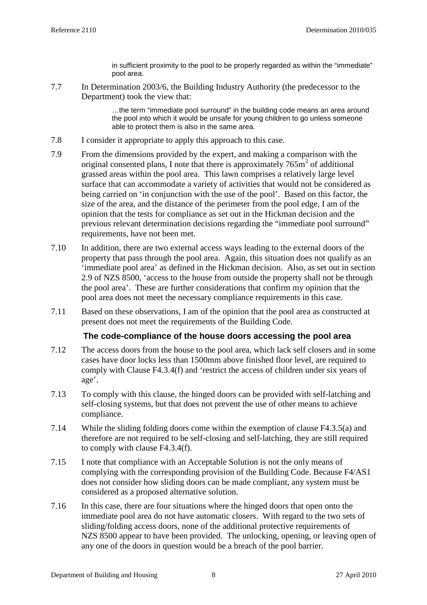in sufficient proximity to the pool to be properly regarded as within the "immediate" pool area.

7.7 In Determination 2003/6, the Building Industry Authority (the predecessor to the Department) took the view that:

> …the term "immediate pool surround" in the building code means an area around the pool into which it would be unsafe for young children to go unless someone able to protect them is also in the same area.

- 7.8 I consider it appropriate to apply this approach to this case.
- 7.9 From the dimensions provided by the expert, and making a comparison with the original consented plans, I note that there is approximately  $765\text{m}^2$  of additional grassed areas within the pool area. This lawn comprises a relatively large level surface that can accommodate a variety of activities that would not be considered as being carried on 'in conjunction with the use of the pool'. Based on this factor, the size of the area, and the distance of the perimeter from the pool edge, I am of the opinion that the tests for compliance as set out in the Hickman decision and the previous relevant determination decisions regarding the "immediate pool surround" requirements, have not been met.
- 7.10 In addition, there are two external access ways leading to the external doors of the property that pass through the pool area. Again, this situation does not qualify as an 'immediate pool area' as defined in the Hickman decision. Also, as set out in section 2.9 of NZS 8500, 'access to the house from outside the property shall not be through the pool area'. These are further considerations that confirm my opinion that the pool area does not meet the necessary compliance requirements in this case.
- 7.11 Based on these observations, I am of the opinion that the pool area as constructed at present does not meet the requirements of the Building Code.

## **The code-compliance of the house doors accessing the pool area**

- 7.12 The access doors from the house to the pool area, which lack self closers and in some cases have door locks less than 1500mm above finished floor level, are required to comply with Clause F4.3.4(f) and 'restrict the access of children under six years of age'.
- 7.13 To comply with this clause, the hinged doors can be provided with self-latching and self-closing systems, but that does not prevent the use of other means to achieve compliance.
- 7.14 While the sliding folding doors come within the exemption of clause F4.3.5(a) and therefore are not required to be self-closing and self-latching, they are still required to comply with clause F4.3.4(f).
- 7.15 I note that compliance with an Acceptable Solution is not the only means of complying with the corresponding provision of the Building Code. Because F4/AS1 does not consider how sliding doors can be made compliant, any system must be considered as a proposed alternative solution.
- 7.16 In this case, there are four situations where the hinged doors that open onto the immediate pool area do not have automatic closers. With regard to the two sets of sliding/folding access doors, none of the additional protective requirements of NZS 8500 appear to have been provided. The unlocking, opening, or leaving open of any one of the doors in question would be a breach of the pool barrier.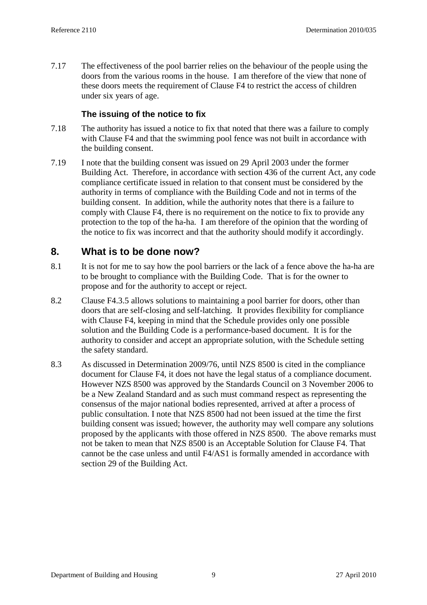7.17 The effectiveness of the pool barrier relies on the behaviour of the people using the doors from the various rooms in the house. I am therefore of the view that none of these doors meets the requirement of Clause F4 to restrict the access of children under six years of age.

## **The issuing of the notice to fix**

- 7.18 The authority has issued a notice to fix that noted that there was a failure to comply with Clause F4 and that the swimming pool fence was not built in accordance with the building consent.
- 7.19 I note that the building consent was issued on 29 April 2003 under the former Building Act. Therefore, in accordance with section 436 of the current Act, any code compliance certificate issued in relation to that consent must be considered by the authority in terms of compliance with the Building Code and not in terms of the building consent. In addition, while the authority notes that there is a failure to comply with Clause F4, there is no requirement on the notice to fix to provide any protection to the top of the ha-ha. I am therefore of the opinion that the wording of the notice to fix was incorrect and that the authority should modify it accordingly.

# **8. What is to be done now?**

- 8.1 It is not for me to say how the pool barriers or the lack of a fence above the ha-ha are to be brought to compliance with the Building Code. That is for the owner to propose and for the authority to accept or reject.
- 8.2 Clause F4.3.5 allows solutions to maintaining a pool barrier for doors, other than doors that are self-closing and self-latching. It provides flexibility for compliance with Clause F4, keeping in mind that the Schedule provides only one possible solution and the Building Code is a performance-based document. It is for the authority to consider and accept an appropriate solution, with the Schedule setting the safety standard.
- 8.3 As discussed in Determination 2009/76, until NZS 8500 is cited in the compliance document for Clause F4, it does not have the legal status of a compliance document. However NZS 8500 was approved by the Standards Council on 3 November 2006 to be a New Zealand Standard and as such must command respect as representing the consensus of the major national bodies represented, arrived at after a process of public consultation. I note that NZS 8500 had not been issued at the time the first building consent was issued; however, the authority may well compare any solutions proposed by the applicants with those offered in NZS 8500. The above remarks must not be taken to mean that NZS 8500 is an Acceptable Solution for Clause F4. That cannot be the case unless and until F4/AS1 is formally amended in accordance with section 29 of the Building Act.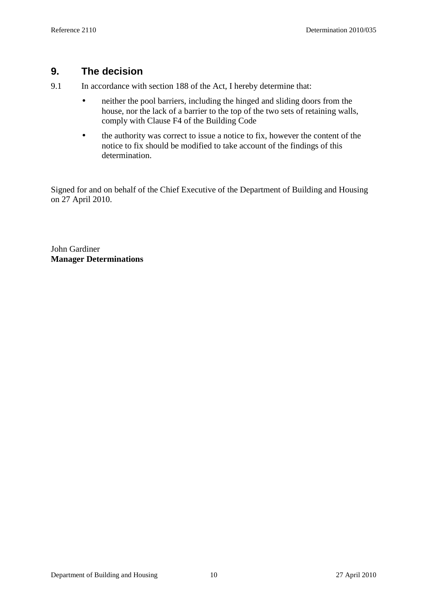# **9. The decision**

9.1 In accordance with section 188 of the Act, I hereby determine that:

- neither the pool barriers, including the hinged and sliding doors from the house, nor the lack of a barrier to the top of the two sets of retaining walls, comply with Clause F4 of the Building Code
- the authority was correct to issue a notice to fix, however the content of the notice to fix should be modified to take account of the findings of this determination.

Signed for and on behalf of the Chief Executive of the Department of Building and Housing on 27 April 2010.

John Gardiner **Manager Determinations**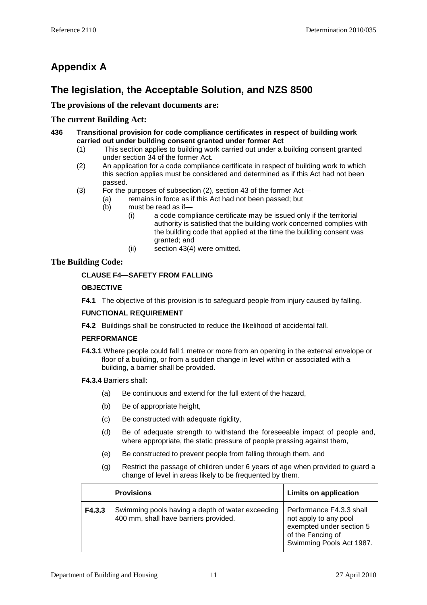# **Appendix A**

# **The legislation, the Acceptable Solution, and NZS 8500**

**The provisions of the relevant documents are:** 

## **The current Building Act:**

- **436 Transitional provision for code compliance certificates in respect of building work carried out under building consent granted under former Act** 
	- (1) This section applies to building work carried out under a building consent granted under section 34 of the former Act.
	- (2) An application for a code compliance certificate in respect of building work to which this section applies must be considered and determined as if this Act had not been passed.
	- (3) For the purposes of subsection (2), section 43 of the former Act—
		- (a) remains in force as if this Act had not been passed; but
		- (b) must be read as if—
			- (i) a code compliance certificate may be issued only if the territorial authority is satisfied that the building work concerned complies with the building code that applied at the time the building consent was granted; and
			- (ii) section 43(4) were omitted.

## **The Building Code:**

## **CLAUSE F4—SAFETY FROM FALLING**

## **OBJECTIVE**

**F4.1** The objective of this provision is to safeguard people from injury caused by falling.

## **FUNCTIONAL REQUIREMENT**

**F4.2** Buildings shall be constructed to reduce the likelihood of accidental fall.

## **PERFORMANCE**

- **F4.3.1** Where people could fall 1 metre or more from an opening in the external envelope or floor of a building, or from a sudden change in level within or associated with a building, a barrier shall be provided.
- **F4.3.4** Barriers shall:
	- (a) Be continuous and extend for the full extent of the hazard,
	- (b) Be of appropriate height,
	- (c) Be constructed with adequate rigidity,
	- (d) Be of adequate strength to withstand the foreseeable impact of people and, where appropriate, the static pressure of people pressing against them,
	- (e) Be constructed to prevent people from falling through them, and
	- (g) Restrict the passage of children under 6 years of age when provided to guard a change of level in areas likely to be frequented by them.

|        | <b>Provisions</b>                                                                         | <b>Limits on application</b>                                                                                                   |
|--------|-------------------------------------------------------------------------------------------|--------------------------------------------------------------------------------------------------------------------------------|
| F4.3.3 | Swimming pools having a depth of water exceeding<br>400 mm, shall have barriers provided. | Performance F4.3.3 shall<br>not apply to any pool<br>exempted under section 5<br>of the Fencing of<br>Swimming Pools Act 1987. |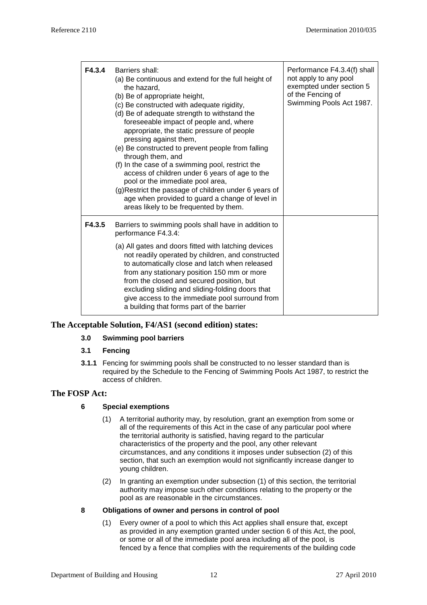| F4.3.4 | Barriers shall:<br>(a) Be continuous and extend for the full height of<br>the hazard,<br>(b) Be of appropriate height,<br>(c) Be constructed with adequate rigidity,<br>(d) Be of adequate strength to withstand the<br>foreseeable impact of people and, where<br>appropriate, the static pressure of people<br>pressing against them,<br>(e) Be constructed to prevent people from falling<br>through them, and<br>(f) In the case of a swimming pool, restrict the<br>access of children under 6 years of age to the<br>pool or the immediate pool area,<br>(g)Restrict the passage of children under 6 years of<br>age when provided to guard a change of level in<br>areas likely to be frequented by them. | Performance F4.3.4(f) shall<br>not apply to any pool<br>exempted under section 5<br>of the Fencing of<br>Swimming Pools Act 1987. |
|--------|------------------------------------------------------------------------------------------------------------------------------------------------------------------------------------------------------------------------------------------------------------------------------------------------------------------------------------------------------------------------------------------------------------------------------------------------------------------------------------------------------------------------------------------------------------------------------------------------------------------------------------------------------------------------------------------------------------------|-----------------------------------------------------------------------------------------------------------------------------------|
| F4.3.5 | Barriers to swimming pools shall have in addition to<br>performance F4.3.4:<br>(a) All gates and doors fitted with latching devices                                                                                                                                                                                                                                                                                                                                                                                                                                                                                                                                                                              |                                                                                                                                   |
|        | not readily operated by children, and constructed<br>to automatically close and latch when released<br>from any stationary position 150 mm or more<br>from the closed and secured position, but<br>excluding sliding and sliding-folding doors that<br>give access to the immediate pool surround from<br>a building that forms part of the barrier                                                                                                                                                                                                                                                                                                                                                              |                                                                                                                                   |

## **The Acceptable Solution, F4/AS1 (second edition) states:**

#### **3.0 Swimming pool barriers**

#### **3.1 Fencing**

**3.1.1** Fencing for swimming pools shall be constructed to no lesser standard than is required by the Schedule to the Fencing of Swimming Pools Act 1987, to restrict the access of children.

## **The FOSP Act:**

### **6 Special exemptions**

- (1) A territorial authority may, by resolution, grant an exemption from some or all of the requirements of this Act in the case of any particular pool where the territorial authority is satisfied, having regard to the particular characteristics of the property and the pool, any other relevant circumstances, and any conditions it imposes under subsection (2) of this section, that such an exemption would not significantly increase danger to young children.
- (2) In granting an exemption under subsection (1) of this section, the territorial authority may impose such other conditions relating to the property or the pool as are reasonable in the circumstances.

#### **8 Obligations of owner and persons in control of pool**

(1) Every owner of a pool to which this Act applies shall ensure that, except as provided in any exemption granted under section 6 of this Act, the pool, or some or all of the immediate pool area including all of the pool, is fenced by a fence that complies with the requirements of the building code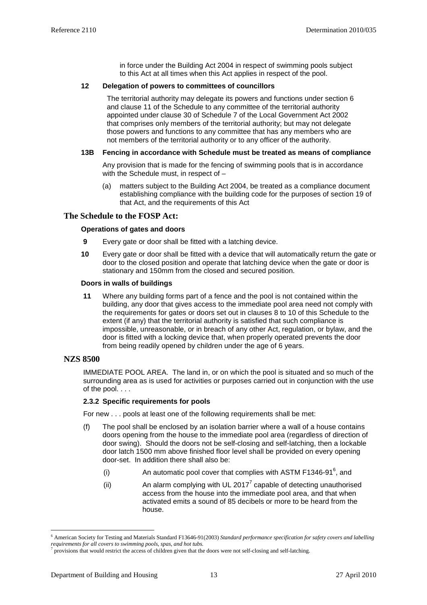in force under the Building Act 2004 in respect of swimming pools subject to this Act at all times when this Act applies in respect of the pool.

#### **12 Delegation of powers to committees of councillors**

The territorial authority may delegate its powers and functions under section 6 and clause 11 of the Schedule to any committee of the territorial authority appointed under clause 30 of Schedule 7 of the Local Government Act 2002 that comprises only members of the territorial authority; but may not delegate those powers and functions to any committee that has any members who are not members of the territorial authority or to any officer of the authority.

#### **13B Fencing in accordance with Schedule must be treated as means of compliance**

Any provision that is made for the fencing of swimming pools that is in accordance with the Schedule must, in respect of -

(a) matters subject to the Building Act 2004, be treated as a compliance document establishing compliance with the building code for the purposes of section 19 of that Act, and the requirements of this Act

#### **The Schedule to the FOSP Act:**

#### **Operations of gates and doors**

- **9** Every gate or door shall be fitted with a latching device.
- **10** Every gate or door shall be fitted with a device that will automatically return the gate or door to the closed position and operate that latching device when the gate or door is stationary and 150mm from the closed and secured position.

#### **Doors in walls of buildings**

**11** Where any building forms part of a fence and the pool is not contained within the building, any door that gives access to the immediate pool area need not comply with the requirements for gates or doors set out in clauses 8 to 10 of this Schedule to the extent (if any) that the territorial authority is satisfied that such compliance is impossible, unreasonable, or in breach of any other Act, regulation, or bylaw, and the door is fitted with a locking device that, when properly operated prevents the door from being readily opened by children under the age of 6 years.

#### **NZS 8500**

IMMEDIATE POOL AREA. The land in, or on which the pool is situated and so much of the surrounding area as is used for activities or purposes carried out in conjunction with the use of the pool. . . .

#### **2.3.2 Specific requirements for pools**

For new . . . pools at least one of the following requirements shall be met:

- (f) The pool shall be enclosed by an isolation barrier where a wall of a house contains doors opening from the house to the immediate pool area (regardless of direction of door swing). Should the doors not be self-closing and self-latching, then a lockable door latch 1500 mm above finished floor level shall be provided on every opening door-set. In addition there shall also be:
	- (i) An automatic pool cover that complies with ASTM F1346-91 $^6$ , and
	- (ii)  $\blacksquare$  An alarm complying with UL 2017<sup>7</sup> capable of detecting unauthorised access from the house into the immediate pool area, and that when activated emits a sound of 85 decibels or more to be heard from the house.

 $\overline{a}$ 

<sup>6</sup> American Society for Testing and Materials Standard F13646-91(2003) *Standard performance specification for safety covers and labelling requirements for all covers to swimming pools, spas, and hot tubs.* 

<sup>7</sup> provisions that would restrict the access of children given that the doors were not self-closing and self-latching.